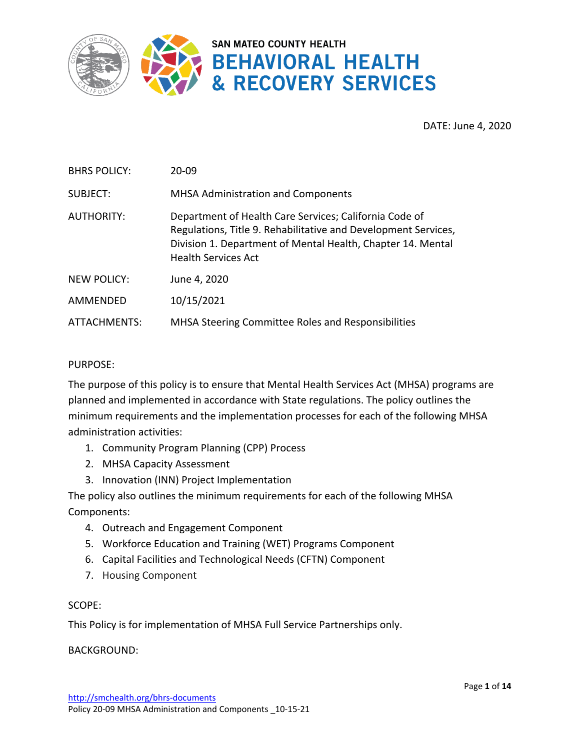

DATE: June 4, 2020

| <b>BHRS POLICY:</b> | 20-09                                                                                                                                                                                                                 |
|---------------------|-----------------------------------------------------------------------------------------------------------------------------------------------------------------------------------------------------------------------|
| SUBJECT:            | <b>MHSA Administration and Components</b>                                                                                                                                                                             |
| <b>AUTHORITY:</b>   | Department of Health Care Services; California Code of<br>Regulations, Title 9. Rehabilitative and Development Services,<br>Division 1. Department of Mental Health, Chapter 14. Mental<br><b>Health Services Act</b> |
| <b>NEW POLICY:</b>  | June 4, 2020                                                                                                                                                                                                          |
| AMMENDED            | 10/15/2021                                                                                                                                                                                                            |
| ATTACHMENTS:        | MHSA Steering Committee Roles and Responsibilities                                                                                                                                                                    |

#### PURPOSE:

The purpose of this policy is to ensure that Mental Health Services Act (MHSA) programs are planned and implemented in accordance with State regulations. The policy outlines the minimum requirements and the implementation processes for each of the following MHSA administration activities:

- 1. Community Program Planning (CPP) Process
- 2. MHSA Capacity Assessment
- 3. Innovation (INN) Project Implementation

The policy also outlines the minimum requirements for each of the following MHSA Components:

- 4. Outreach and Engagement Component
- 5. Workforce Education and Training (WET) Programs Component
- 6. Capital Facilities and Technological Needs (CFTN) Component
- 7. Housing Component

#### SCOPE:

This Policy is for implementation of MHSA Full Service Partnerships only.

BACKGROUND: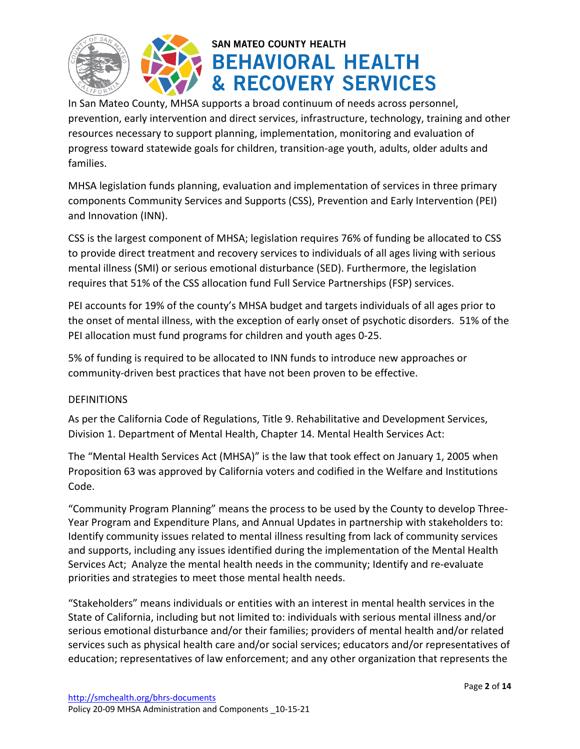



In San Mateo County, MHSA supports a broad continuum of needs across personnel, prevention, early intervention and direct services, infrastructure, technology, training and other resources necessary to support planning, implementation, monitoring and evaluation of progress toward statewide goals for children, transition-age youth, adults, older adults and families.

MHSA legislation funds planning, evaluation and implementation of services in three primary components Community Services and Supports (CSS), Prevention and Early Intervention (PEI) and Innovation (INN).

CSS is the largest component of MHSA; legislation requires 76% of funding be allocated to CSS to provide direct treatment and recovery services to individuals of all ages living with serious mental illness (SMI) or serious emotional disturbance (SED). Furthermore, the legislation requires that 51% of the CSS allocation fund Full Service Partnerships (FSP) services.

PEI accounts for 19% of the county's MHSA budget and targets individuals of all ages prior to the onset of mental illness, with the exception of early onset of psychotic disorders. 51% of the PEI allocation must fund programs for children and youth ages 0-25.

5% of funding is required to be allocated to INN funds to introduce new approaches or community-driven best practices that have not been proven to be effective.

### **DEFINITIONS**

As per the California Code of Regulations, Title 9. Rehabilitative and Development Services, Division 1. Department of Mental Health, Chapter 14. Mental Health Services Act:

The "Mental Health Services Act (MHSA)" is the law that took effect on January 1, 2005 when Proposition 63 was approved by California voters and codified in the Welfare and Institutions Code.

"Community Program Planning" means the process to be used by the County to develop Three-Year Program and Expenditure Plans, and Annual Updates in partnership with stakeholders to: Identify community issues related to mental illness resulting from lack of community services and supports, including any issues identified during the implementation of the Mental Health Services Act; Analyze the mental health needs in the community; Identify and re-evaluate priorities and strategies to meet those mental health needs.

"Stakeholders" means individuals or entities with an interest in mental health services in the State of California, including but not limited to: individuals with serious mental illness and/or serious emotional disturbance and/or their families; providers of mental health and/or related services such as physical health care and/or social services; educators and/or representatives of education; representatives of law enforcement; and any other organization that represents the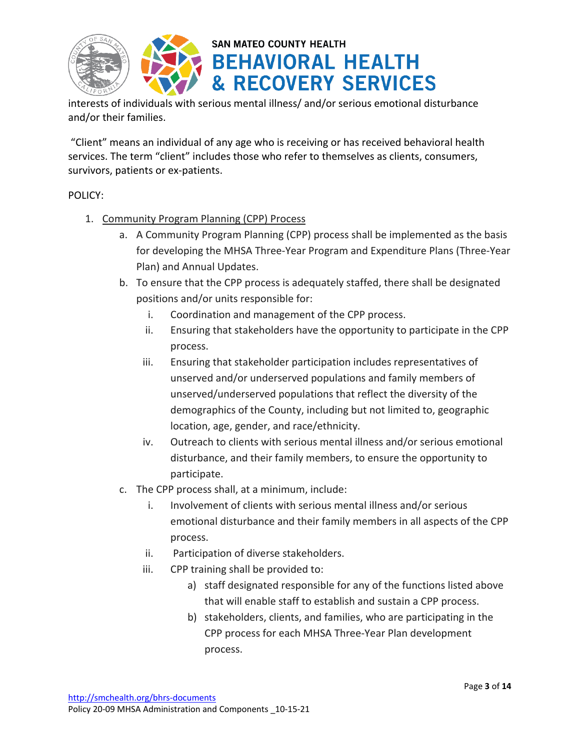



interests of individuals with serious mental illness/ and/or serious emotional disturbance and/or their families.

"Client" means an individual of any age who is receiving or has received behavioral health services. The term "client" includes those who refer to themselves as clients, consumers, survivors, patients or ex-patients.

### POLICY:

- 1. Community Program Planning (CPP) Process
	- a. A Community Program Planning (CPP) process shall be implemented as the basis for developing the MHSA Three-Year Program and Expenditure Plans (Three-Year Plan) and Annual Updates.
	- b. To ensure that the CPP process is adequately staffed, there shall be designated positions and/or units responsible for:
		- i. Coordination and management of the CPP process.
		- ii. Ensuring that stakeholders have the opportunity to participate in the CPP process.
		- iii. Ensuring that stakeholder participation includes representatives of unserved and/or underserved populations and family members of unserved/underserved populations that reflect the diversity of the demographics of the County, including but not limited to, geographic location, age, gender, and race/ethnicity.
		- iv. Outreach to clients with serious mental illness and/or serious emotional disturbance, and their family members, to ensure the opportunity to participate.
	- c. The CPP process shall, at a minimum, include:
		- i. Involvement of clients with serious mental illness and/or serious emotional disturbance and their family members in all aspects of the CPP process.
		- ii. Participation of diverse stakeholders.
		- iii. CPP training shall be provided to:
			- a) staff designated responsible for any of the functions listed above that will enable staff to establish and sustain a CPP process.
			- b) stakeholders, clients, and families, who are participating in the CPP process for each MHSA Three-Year Plan development process.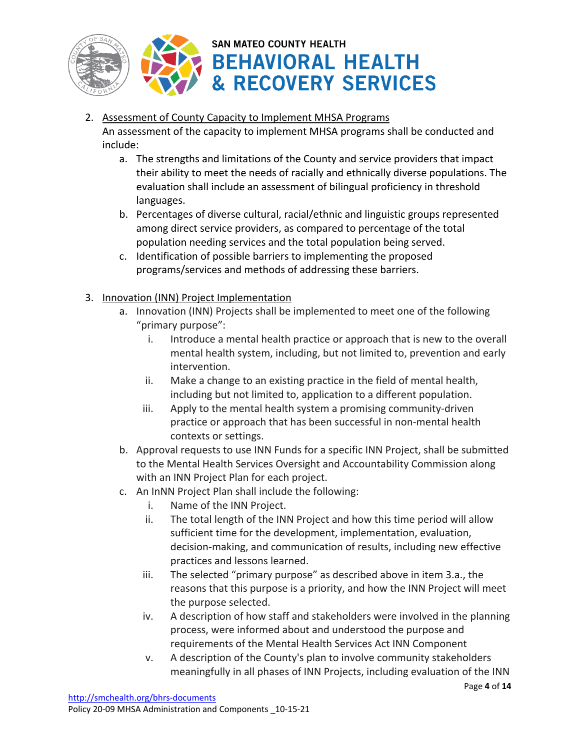

### 2. Assessment of County Capacity to Implement MHSA Programs

An assessment of the capacity to implement MHSA programs shall be conducted and include:

- a. The strengths and limitations of the County and service providers that impact their ability to meet the needs of racially and ethnically diverse populations. The evaluation shall include an assessment of bilingual proficiency in threshold languages.
- b. Percentages of diverse cultural, racial/ethnic and linguistic groups represented among direct service providers, as compared to percentage of the total population needing services and the total population being served.
- c. Identification of possible barriers to implementing the proposed programs/services and methods of addressing these barriers.
- 3. Innovation (INN) Project Implementation
	- a. Innovation (INN) Projects shall be implemented to meet one of the following "primary purpose":
		- i. Introduce a mental health practice or approach that is new to the overall mental health system, including, but not limited to, prevention and early intervention.
		- ii. Make a change to an existing practice in the field of mental health, including but not limited to, application to a different population.
		- iii. Apply to the mental health system a promising community-driven practice or approach that has been successful in non-mental health contexts or settings.
	- b. Approval requests to use INN Funds for a specific INN Project, shall be submitted to the Mental Health Services Oversight and Accountability Commission along with an INN Project Plan for each project.
	- c. An InNN Project Plan shall include the following:
		- i. Name of the INN Project.
		- ii. The total length of the INN Project and how this time period will allow sufficient time for the development, implementation, evaluation, decision-making, and communication of results, including new effective practices and lessons learned.
		- iii. The selected "primary purpose" as described above in item 3.a., the reasons that this purpose is a priority, and how the INN Project will meet the purpose selected.
		- iv. A description of how staff and stakeholders were involved in the planning process, were informed about and understood the purpose and requirements of the Mental Health Services Act INN Component
		- v. A description of the County's plan to involve community stakeholders meaningfully in all phases of INN Projects, including evaluation of the INN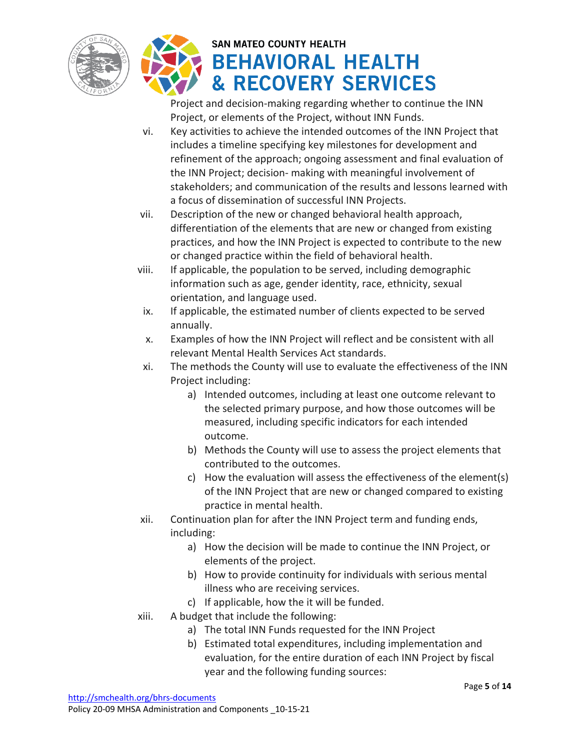



Project and decision-making regarding whether to continue the INN Project, or elements of the Project, without INN Funds.

- vi. Key activities to achieve the intended outcomes of the INN Project that includes a timeline specifying key milestones for development and refinement of the approach; ongoing assessment and final evaluation of the INN Project; decision- making with meaningful involvement of stakeholders; and communication of the results and lessons learned with a focus of dissemination of successful INN Projects.
- vii. Description of the new or changed behavioral health approach, differentiation of the elements that are new or changed from existing practices, and how the INN Project is expected to contribute to the new or changed practice within the field of behavioral health.
- viii. If applicable, the population to be served, including demographic information such as age, gender identity, race, ethnicity, sexual orientation, and language used.
- ix. If applicable, the estimated number of clients expected to be served annually.
- x. Examples of how the INN Project will reflect and be consistent with all relevant Mental Health Services Act standards.
- xi. The methods the County will use to evaluate the effectiveness of the INN Project including:
	- a) Intended outcomes, including at least one outcome relevant to the selected primary purpose, and how those outcomes will be measured, including specific indicators for each intended outcome.
	- b) Methods the County will use to assess the project elements that contributed to the outcomes.
	- c) How the evaluation will assess the effectiveness of the element(s) of the INN Project that are new or changed compared to existing practice in mental health.
- xii. Continuation plan for after the INN Project term and funding ends, including:
	- a) How the decision will be made to continue the INN Project, or elements of the project.
	- b) How to provide continuity for individuals with serious mental illness who are receiving services.
	- c) If applicable, how the it will be funded.
- xiii. A budget that include the following:
	- a) The total INN Funds requested for the INN Project
	- b) Estimated total expenditures, including implementation and evaluation, for the entire duration of each INN Project by fiscal year and the following funding sources: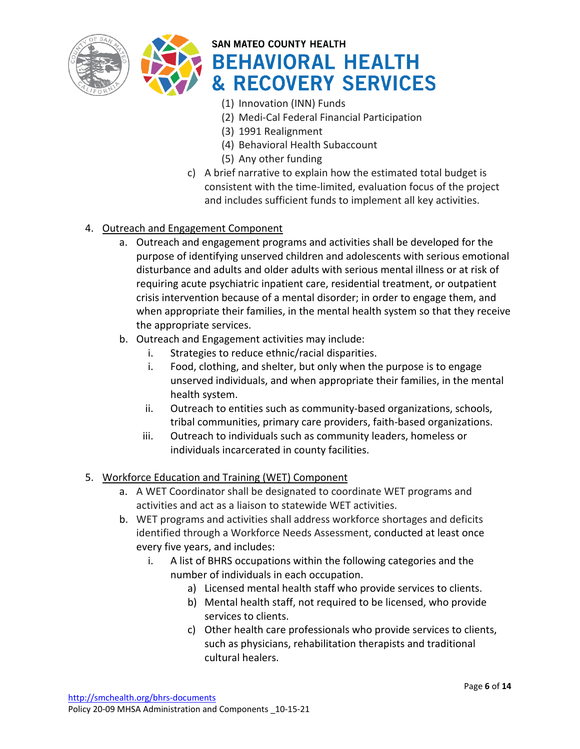



- (1) Innovation (INN) Funds
- (2) Medi-Cal Federal Financial Participation
- (3) 1991 Realignment
- (4) Behavioral Health Subaccount
- (5) Any other funding
- c) A brief narrative to explain how the estimated total budget is consistent with the time-limited, evaluation focus of the project and includes sufficient funds to implement all key activities.

### 4. Outreach and Engagement Component

- a. Outreach and engagement programs and activities shall be developed for the purpose of identifying unserved children and adolescents with serious emotional disturbance and adults and older adults with serious mental illness or at risk of requiring acute psychiatric inpatient care, residential treatment, or outpatient crisis intervention because of a mental disorder; in order to engage them, and when appropriate their families, in the mental health system so that they receive the appropriate services.
- b. Outreach and Engagement activities may include:
	- i. Strategies to reduce ethnic/racial disparities.
	- i. Food, clothing, and shelter, but only when the purpose is to engage unserved individuals, and when appropriate their families, in the mental health system.
	- ii. Outreach to entities such as community-based organizations, schools, tribal communities, primary care providers, faith-based organizations.
	- iii. Outreach to individuals such as community leaders, homeless or individuals incarcerated in county facilities.

### 5. Workforce Education and Training (WET) Component

- a. A WET Coordinator shall be designated to coordinate WET programs and activities and act as a liaison to statewide WET activities.
- b. WET programs and activities shall address workforce shortages and deficits identified through a Workforce Needs Assessment, conducted at least once every five years, and includes:
	- i. A list of BHRS occupations within the following categories and the number of individuals in each occupation.
		- a) Licensed mental health staff who provide services to clients.
		- b) Mental health staff, not required to be licensed, who provide services to clients.
		- c) Other health care professionals who provide services to clients, such as physicians, rehabilitation therapists and traditional cultural healers.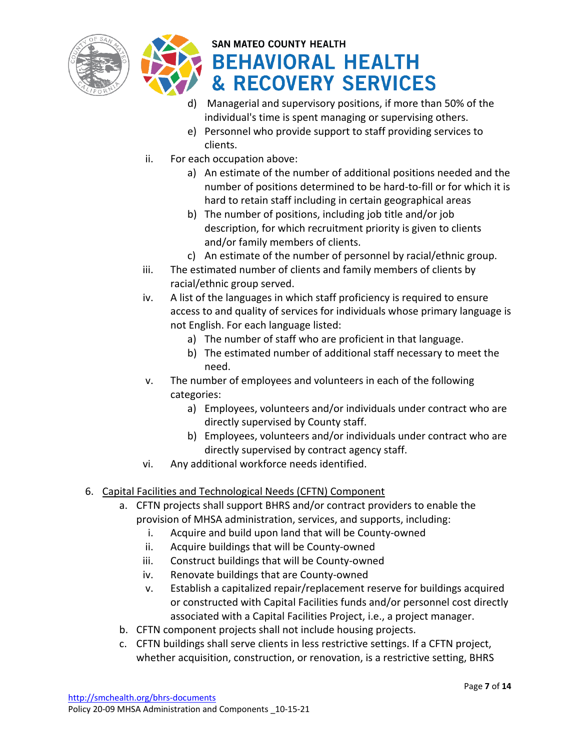



- d) Managerial and supervisory positions, if more than 50% of the individual's time is spent managing or supervising others.
- e) Personnel who provide support to staff providing services to clients.
- ii. For each occupation above:
	- a) An estimate of the number of additional positions needed and the number of positions determined to be hard-to-fill or for which it is hard to retain staff including in certain geographical areas
	- b) The number of positions, including job title and/or job description, for which recruitment priority is given to clients and/or family members of clients.
	- c) An estimate of the number of personnel by racial/ethnic group.
- iii. The estimated number of clients and family members of clients by racial/ethnic group served.
- iv. A list of the languages in which staff proficiency is required to ensure access to and quality of services for individuals whose primary language is not English. For each language listed:
	- a) The number of staff who are proficient in that language.
	- b) The estimated number of additional staff necessary to meet the need.
- v. The number of employees and volunteers in each of the following categories:
	- a) Employees, volunteers and/or individuals under contract who are directly supervised by County staff.
	- b) Employees, volunteers and/or individuals under contract who are directly supervised by contract agency staff.
- vi. Any additional workforce needs identified.

### 6. Capital Facilities and Technological Needs (CFTN) Component

- a. CFTN projects shall support BHRS and/or contract providers to enable the provision of MHSA administration, services, and supports, including:
	- i. Acquire and build upon land that will be County-owned
	- ii. Acquire buildings that will be County-owned
	- iii. Construct buildings that will be County-owned
	- iv. Renovate buildings that are County-owned
	- v. Establish a capitalized repair/replacement reserve for buildings acquired or constructed with Capital Facilities funds and/or personnel cost directly associated with a Capital Facilities Project, i.e., a project manager.
- b. CFTN component projects shall not include housing projects.
- c. CFTN buildings shall serve clients in less restrictive settings. If a CFTN project, whether acquisition, construction, or renovation, is a restrictive setting, BHRS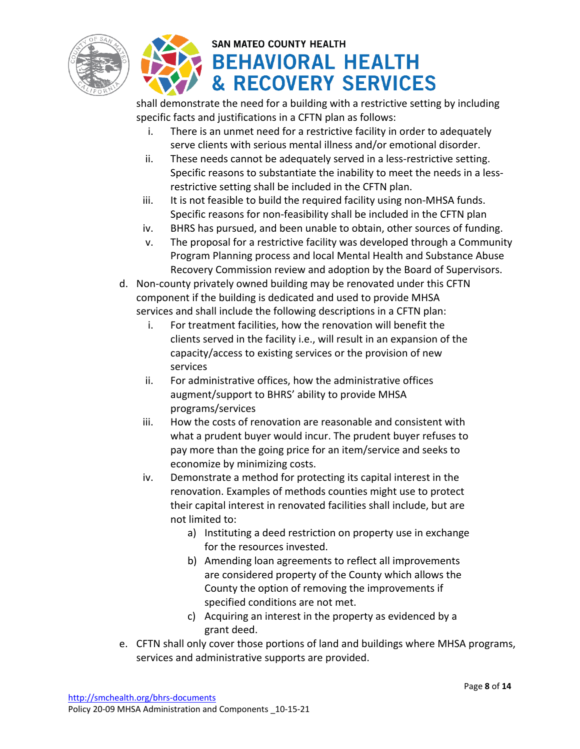



shall demonstrate the need for a building with a restrictive setting by including specific facts and justifications in a CFTN plan as follows:

- i. There is an unmet need for a restrictive facility in order to adequately serve clients with serious mental illness and/or emotional disorder.
- ii. These needs cannot be adequately served in a less-restrictive setting. Specific reasons to substantiate the inability to meet the needs in a lessrestrictive setting shall be included in the CFTN plan.
- iii. It is not feasible to build the required facility using non-MHSA funds. Specific reasons for non-feasibility shall be included in the CFTN plan
- iv. BHRS has pursued, and been unable to obtain, other sources of funding.
- v. The proposal for a restrictive facility was developed through a Community Program Planning process and local Mental Health and Substance Abuse Recovery Commission review and adoption by the Board of Supervisors.
- d. Non-county privately owned building may be renovated under this CFTN component if the building is dedicated and used to provide MHSA services and shall include the following descriptions in a CFTN plan:
	- i. For treatment facilities, how the renovation will benefit the clients served in the facility i.e., will result in an expansion of the capacity/access to existing services or the provision of new services
	- ii. For administrative offices, how the administrative offices augment/support to BHRS' ability to provide MHSA programs/services
	- iii. How the costs of renovation are reasonable and consistent with what a prudent buyer would incur. The prudent buyer refuses to pay more than the going price for an item/service and seeks to economize by minimizing costs.
	- iv. Demonstrate a method for protecting its capital interest in the renovation. Examples of methods counties might use to protect their capital interest in renovated facilities shall include, but are not limited to:
		- a) Instituting a deed restriction on property use in exchange for the resources invested.
		- b) Amending loan agreements to reflect all improvements are considered property of the County which allows the County the option of removing the improvements if specified conditions are not met.
		- c) Acquiring an interest in the property as evidenced by a grant deed.
- e. CFTN shall only cover those portions of land and buildings where MHSA programs, services and administrative supports are provided.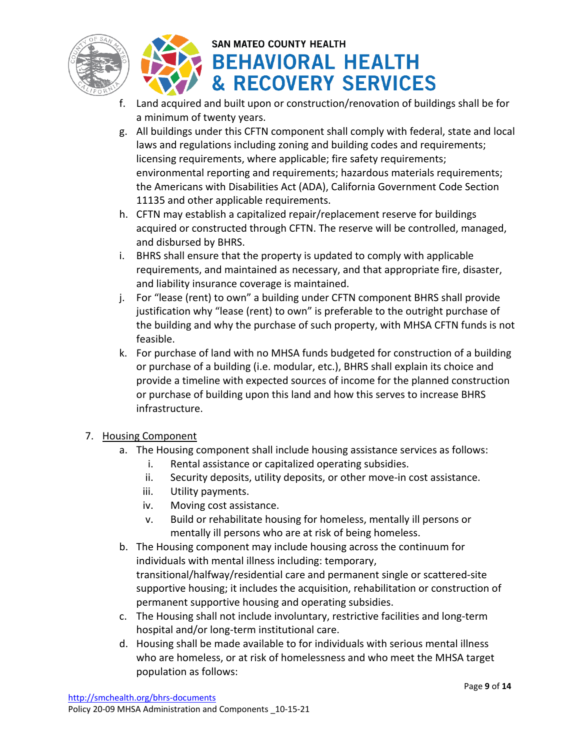



- f. Land acquired and built upon or construction/renovation of buildings shall be for a minimum of twenty years.
- g. All buildings under this CFTN component shall comply with federal, state and local laws and regulations including zoning and building codes and requirements; licensing requirements, where applicable; fire safety requirements; environmental reporting and requirements; hazardous materials requirements; the Americans with Disabilities Act (ADA), California Government Code Section 11135 and other applicable requirements.
- h. CFTN may establish a capitalized repair/replacement reserve for buildings acquired or constructed through CFTN. The reserve will be controlled, managed, and disbursed by BHRS.
- i. BHRS shall ensure that the property is updated to comply with applicable requirements, and maintained as necessary, and that appropriate fire, disaster, and liability insurance coverage is maintained.
- j. For "lease (rent) to own" a building under CFTN component BHRS shall provide justification why "lease (rent) to own" is preferable to the outright purchase of the building and why the purchase of such property, with MHSA CFTN funds is not feasible.
- k. For purchase of land with no MHSA funds budgeted for construction of a building or purchase of a building (i.e. modular, etc.), BHRS shall explain its choice and provide a timeline with expected sources of income for the planned construction or purchase of building upon this land and how this serves to increase BHRS infrastructure.

### 7. Housing Component

- a. The Housing component shall include housing assistance services as follows:
	- i. Rental assistance or capitalized operating subsidies.
	- ii. Security deposits, utility deposits, or other move-in cost assistance.
	- iii. Utility payments.
	- iv. Moving cost assistance.
	- v. Build or rehabilitate housing for homeless, mentally ill persons or mentally ill persons who are at risk of being homeless.
- b. The Housing component may include housing across the continuum for individuals with mental illness including: temporary, transitional/halfway/residential care and permanent single or scattered-site supportive housing; it includes the acquisition, rehabilitation or construction of permanent supportive housing and operating subsidies.
- c. The Housing shall not include involuntary, restrictive facilities and long-term hospital and/or long-term institutional care.
- d. Housing shall be made available to for individuals with serious mental illness who are homeless, or at risk of homelessness and who meet the MHSA target population as follows: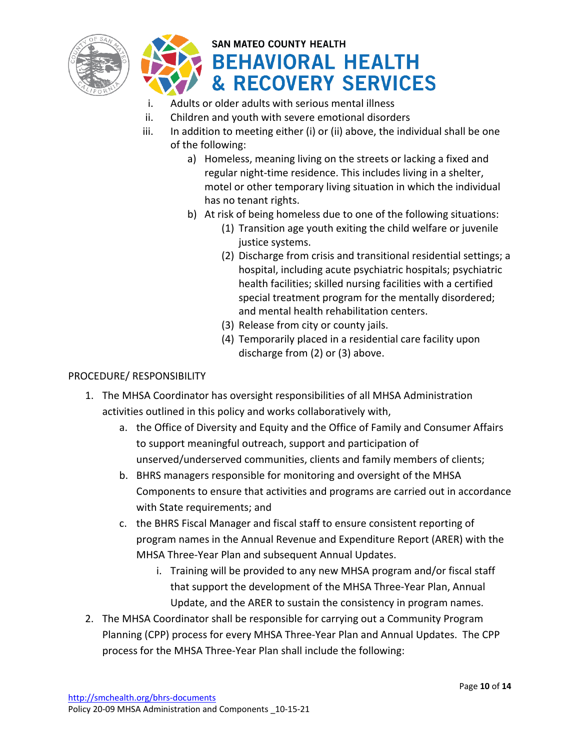



- i. Adults or older adults with serious mental illness
- ii. Children and youth with severe emotional disorders
- iii. In addition to meeting either (i) or (ii) above, the individual shall be one of the following:
	- a) Homeless, meaning living on the streets or lacking a fixed and regular night-time residence. This includes living in a shelter, motel or other temporary living situation in which the individual has no tenant rights.
	- b) At risk of being homeless due to one of the following situations:
		- (1) Transition age youth exiting the child welfare or juvenile justice systems.
		- (2) Discharge from crisis and transitional residential settings; a hospital, including acute psychiatric hospitals; psychiatric health facilities; skilled nursing facilities with a certified special treatment program for the mentally disordered; and mental health rehabilitation centers.
		- (3) Release from city or county jails.
		- (4) Temporarily placed in a residential care facility upon discharge from (2) or (3) above.

### PROCEDURE/ RESPONSIBILITY

- 1. The MHSA Coordinator has oversight responsibilities of all MHSA Administration activities outlined in this policy and works collaboratively with,
	- a. the Office of Diversity and Equity and the Office of Family and Consumer Affairs to support meaningful outreach, support and participation of unserved/underserved communities, clients and family members of clients;
	- b. BHRS managers responsible for monitoring and oversight of the MHSA Components to ensure that activities and programs are carried out in accordance with State requirements; and
	- c. the BHRS Fiscal Manager and fiscal staff to ensure consistent reporting of program names in the Annual Revenue and Expenditure Report (ARER) with the MHSA Three-Year Plan and subsequent Annual Updates.
		- i. Training will be provided to any new MHSA program and/or fiscal staff that support the development of the MHSA Three-Year Plan, Annual Update, and the ARER to sustain the consistency in program names.
- 2. The MHSA Coordinator shall be responsible for carrying out a Community Program Planning (CPP) process for every MHSA Three-Year Plan and Annual Updates. The CPP process for the MHSA Three-Year Plan shall include the following: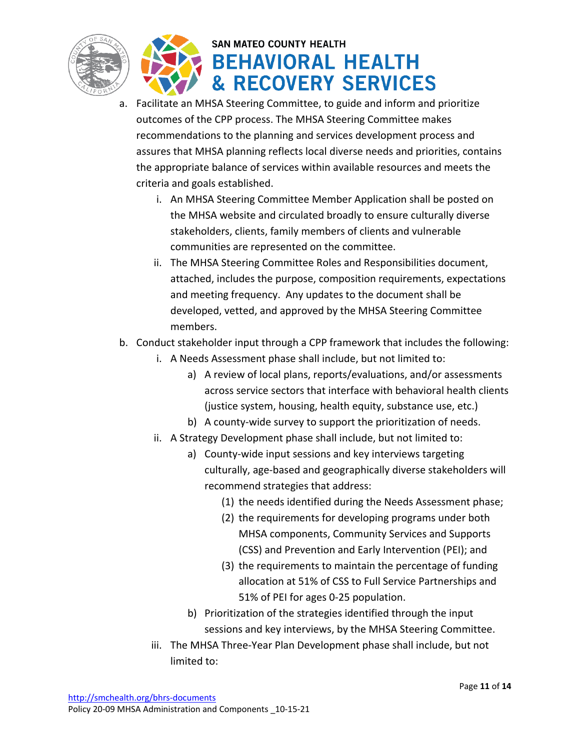



- a. Facilitate an MHSA Steering Committee, to guide and inform and prioritize outcomes of the CPP process. The MHSA Steering Committee makes recommendations to the planning and services development process and assures that MHSA planning reflects local diverse needs and priorities, contains the appropriate balance of services within available resources and meets the criteria and goals established.
	- i. An MHSA Steering Committee Member Application shall be posted on the MHSA website and circulated broadly to ensure culturally diverse stakeholders, clients, family members of clients and vulnerable communities are represented on the committee.
	- ii. The MHSA Steering Committee Roles and Responsibilities document, attached, includes the purpose, composition requirements, expectations and meeting frequency. Any updates to the document shall be developed, vetted, and approved by the MHSA Steering Committee members.
- b. Conduct stakeholder input through a CPP framework that includes the following:
	- i. A Needs Assessment phase shall include, but not limited to:
		- a) A review of local plans, reports/evaluations, and/or assessments across service sectors that interface with behavioral health clients (justice system, housing, health equity, substance use, etc.)
		- b) A county-wide survey to support the prioritization of needs.
	- ii. A Strategy Development phase shall include, but not limited to:
		- a) County-wide input sessions and key interviews targeting culturally, age-based and geographically diverse stakeholders will recommend strategies that address:
			- (1) the needs identified during the Needs Assessment phase;
			- (2) the requirements for developing programs under both MHSA components, Community Services and Supports (CSS) and Prevention and Early Intervention (PEI); and
			- (3) the requirements to maintain the percentage of funding allocation at 51% of CSS to Full Service Partnerships and 51% of PEI for ages 0-25 population.
		- b) Prioritization of the strategies identified through the input sessions and key interviews, by the MHSA Steering Committee.
	- iii. The MHSA Three-Year Plan Development phase shall include, but not limited to: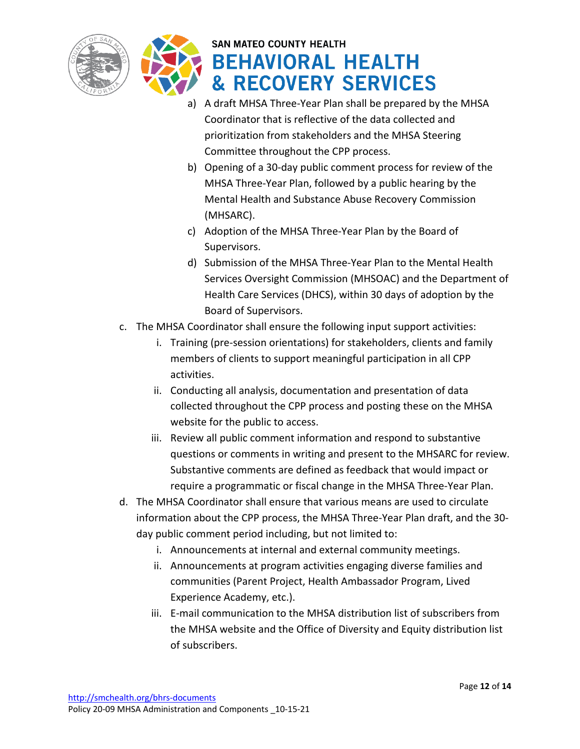



- a) A draft MHSA Three-Year Plan shall be prepared by the MHSA Coordinator that is reflective of the data collected and prioritization from stakeholders and the MHSA Steering Committee throughout the CPP process.
- b) Opening of a 30-day public comment process for review of the MHSA Three-Year Plan, followed by a public hearing by the Mental Health and Substance Abuse Recovery Commission (MHSARC).
- c) Adoption of the MHSA Three-Year Plan by the Board of Supervisors.
- d) Submission of the MHSA Three-Year Plan to the Mental Health Services Oversight Commission (MHSOAC) and the Department of Health Care Services (DHCS), within 30 days of adoption by the Board of Supervisors.
- c. The MHSA Coordinator shall ensure the following input support activities:
	- i. Training (pre-session orientations) for stakeholders, clients and family members of clients to support meaningful participation in all CPP activities.
	- ii. Conducting all analysis, documentation and presentation of data collected throughout the CPP process and posting these on the MHSA website for the public to access.
	- iii. Review all public comment information and respond to substantive questions or comments in writing and present to the MHSARC for review. Substantive comments are defined as feedback that would impact or require a programmatic or fiscal change in the MHSA Three-Year Plan.
- d. The MHSA Coordinator shall ensure that various means are used to circulate information about the CPP process, the MHSA Three-Year Plan draft, and the 30 day public comment period including, but not limited to:
	- i. Announcements at internal and external community meetings.
	- ii. Announcements at program activities engaging diverse families and communities (Parent Project, Health Ambassador Program, Lived Experience Academy, etc.).
	- iii. E-mail communication to the MHSA distribution list of subscribers from the MHSA website and the Office of Diversity and Equity distribution list of subscribers.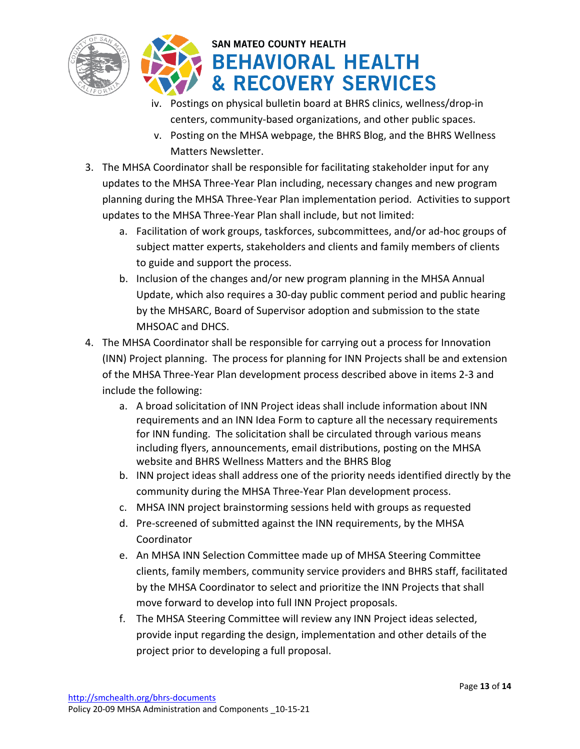



- iv. Postings on physical bulletin board at BHRS clinics, wellness/drop-in centers, community-based organizations, and other public spaces.
- v. Posting on the MHSA webpage, the BHRS Blog, and the BHRS Wellness Matters Newsletter.
- 3. The MHSA Coordinator shall be responsible for facilitating stakeholder input for any updates to the MHSA Three-Year Plan including, necessary changes and new program planning during the MHSA Three-Year Plan implementation period. Activities to support updates to the MHSA Three-Year Plan shall include, but not limited:
	- a. Facilitation of work groups, taskforces, subcommittees, and/or ad-hoc groups of subject matter experts, stakeholders and clients and family members of clients to guide and support the process.
	- b. Inclusion of the changes and/or new program planning in the MHSA Annual Update, which also requires a 30-day public comment period and public hearing by the MHSARC, Board of Supervisor adoption and submission to the state MHSOAC and DHCS.
- 4. The MHSA Coordinator shall be responsible for carrying out a process for Innovation (INN) Project planning. The process for planning for INN Projects shall be and extension of the MHSA Three-Year Plan development process described above in items 2-3 and include the following:
	- a. A broad solicitation of INN Project ideas shall include information about INN requirements and an INN Idea Form to capture all the necessary requirements for INN funding. The solicitation shall be circulated through various means including flyers, announcements, email distributions, posting on the MHSA website and BHRS Wellness Matters and the BHRS Blog
	- b. INN project ideas shall address one of the priority needs identified directly by the community during the MHSA Three-Year Plan development process.
	- c. MHSA INN project brainstorming sessions held with groups as requested
	- d. Pre-screened of submitted against the INN requirements, by the MHSA Coordinator
	- e. An MHSA INN Selection Committee made up of MHSA Steering Committee clients, family members, community service providers and BHRS staff, facilitated by the MHSA Coordinator to select and prioritize the INN Projects that shall move forward to develop into full INN Project proposals.
	- f. The MHSA Steering Committee will review any INN Project ideas selected, provide input regarding the design, implementation and other details of the project prior to developing a full proposal.